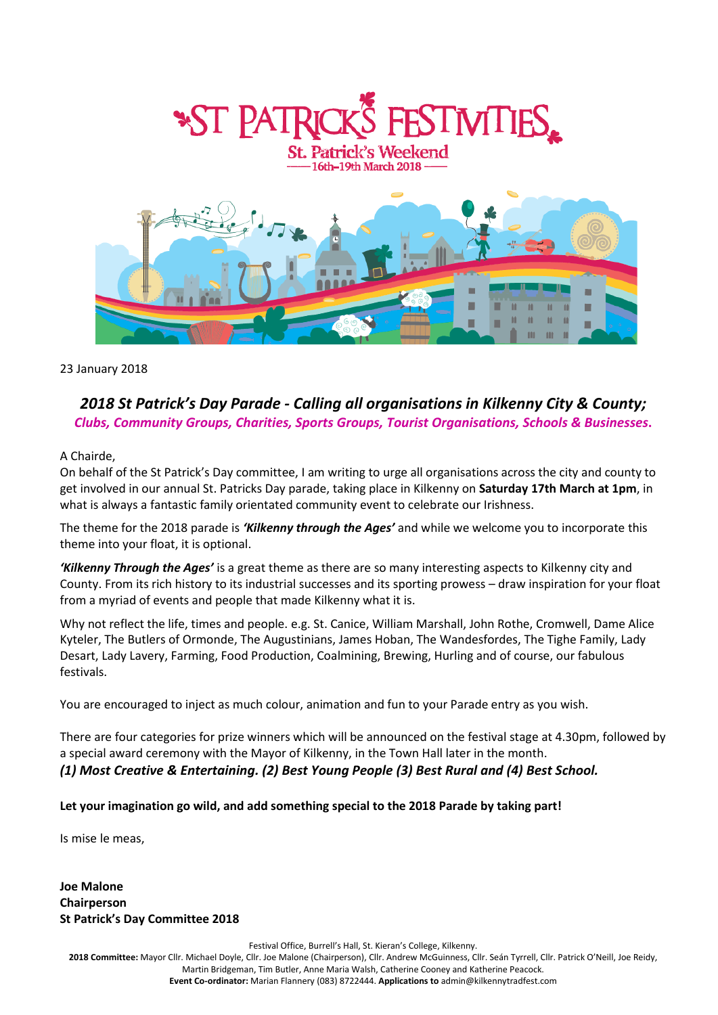

## 23 January 2018

# *2018 St Patrick's Day Parade - Calling all organisations in Kilkenny City & County; Clubs, Community Groups, Charities, Sports Groups, Tourist Organisations, Schools & Businesses***.**

## A Chairde,

On behalf of the St Patrick's Day committee, I am writing to urge all organisations across the city and county to get involved in our annual St. Patricks Day parade, taking place in Kilkenny on **Saturday 17th March at 1pm**, in what is always a fantastic family orientated community event to celebrate our Irishness.

The theme for the 2018 parade is *'Kilkenny through the Ages'* and while we welcome you to incorporate this theme into your float, it is optional.

*'Kilkenny Through the Ages'* is a great theme as there are so many interesting aspects to Kilkenny city and County. From its rich history to its industrial successes and its sporting prowess – draw inspiration for your float from a myriad of events and people that made Kilkenny what it is.

Why not reflect the life, times and people. e.g. St. Canice, William Marshall, John Rothe, Cromwell, Dame Alice Kyteler, The Butlers of Ormonde, The Augustinians, James Hoban, The Wandesfordes, The Tighe Family, Lady Desart, Lady Lavery, Farming, Food Production, Coalmining, Brewing, Hurling and of course, our fabulous festivals.

You are encouraged to inject as much colour, animation and fun to your Parade entry as you wish.

There are four categories for prize winners which will be announced on the festival stage at 4.30pm, followed by a special award ceremony with the Mayor of Kilkenny, in the Town Hall later in the month. *(1) Most Creative & Entertaining. (2) Best Young People (3) Best Rural and (4) Best School.*

### **Let your imagination go wild, and add something special to the 2018 Parade by taking part!**

Is mise le meas,

**Joe Malone Chairperson St Patrick's Day Committee 2018**

Festival Office, Burrell's Hall, St. Kieran's College, Kilkenny.

**2018 Committee:** Mayor Cllr. Michael Doyle, Cllr. Joe Malone (Chairperson), Cllr. Andrew McGuinness, Cllr. Seán Tyrrell, Cllr. Patrick O'Neill, Joe Reidy, Martin Bridgeman, Tim Butler, Anne Maria Walsh, Catherine Cooney and Katherine Peacock. **Event Co-ordinator:** Marian Flannery (083) 8722444. **Applications to** admin@kilkennytradfest.com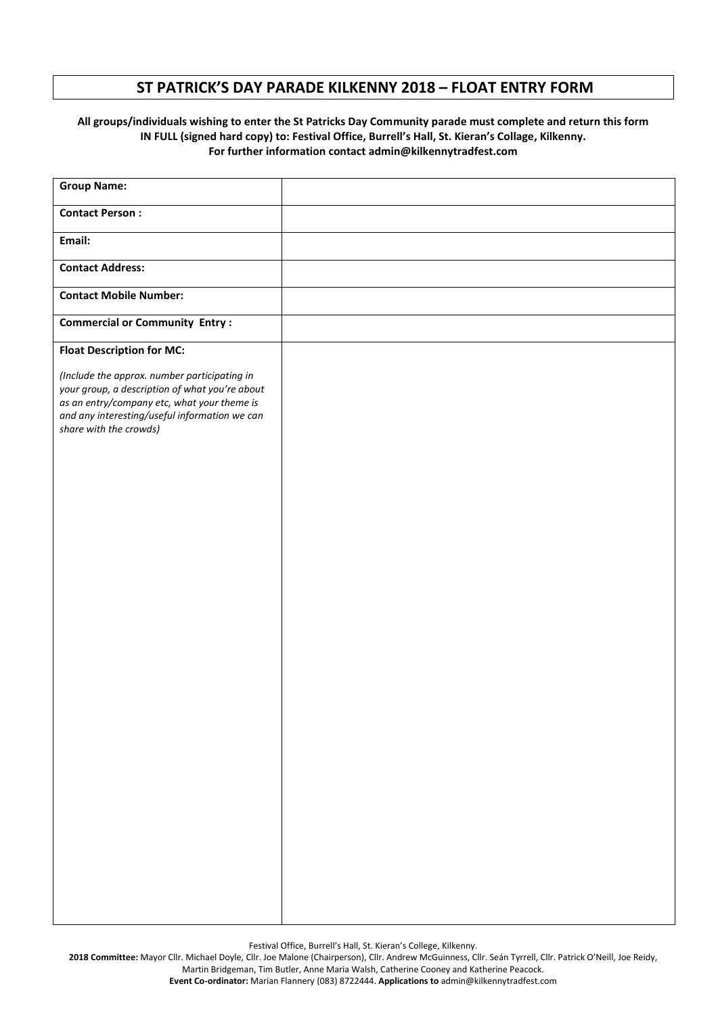# **ST PATRICK'S DAY PARADE KILKENNY 2018 – FLOAT ENTRY FORM**

#### **All groups/individuals wishing to enter the St Patricks Day Community parade must complete and return this form IN FULL (signed hard copy) to: Festival Office, Burrell's Hall, St. Kieran's Collage, Kilkenny. For further information contact admin@kilkennytradfest.com**

| <b>Group Name:</b>                                                                                                                                                                                                       |  |
|--------------------------------------------------------------------------------------------------------------------------------------------------------------------------------------------------------------------------|--|
| <b>Contact Person:</b>                                                                                                                                                                                                   |  |
| Email:                                                                                                                                                                                                                   |  |
| <b>Contact Address:</b>                                                                                                                                                                                                  |  |
| <b>Contact Mobile Number:</b>                                                                                                                                                                                            |  |
| <b>Commercial or Community Entry:</b>                                                                                                                                                                                    |  |
| <b>Float Description for MC:</b>                                                                                                                                                                                         |  |
| (Include the approx. number participating in<br>your group, a description of what you're about<br>as an entry/company etc, what your theme is<br>and any interesting/useful information we can<br>share with the crowds) |  |
|                                                                                                                                                                                                                          |  |
|                                                                                                                                                                                                                          |  |
|                                                                                                                                                                                                                          |  |
|                                                                                                                                                                                                                          |  |
|                                                                                                                                                                                                                          |  |
|                                                                                                                                                                                                                          |  |
|                                                                                                                                                                                                                          |  |
|                                                                                                                                                                                                                          |  |

Festival Office, Burrell's Hall, St. Kieran's College, Kilkenny.

**2018 Committee:** Mayor Cllr. Michael Doyle, Cllr. Joe Malone (Chairperson), Cllr. Andrew McGuinness, Cllr. Seán Tyrrell, Cllr. Patrick O'Neill, Joe Reidy, Martin Bridgeman, Tim Butler, Anne Maria Walsh, Catherine Cooney and Katherine Peacock.

**Event Co-ordinator:** Marian Flannery (083) 8722444. **Applications to** admin@kilkennytradfest.com